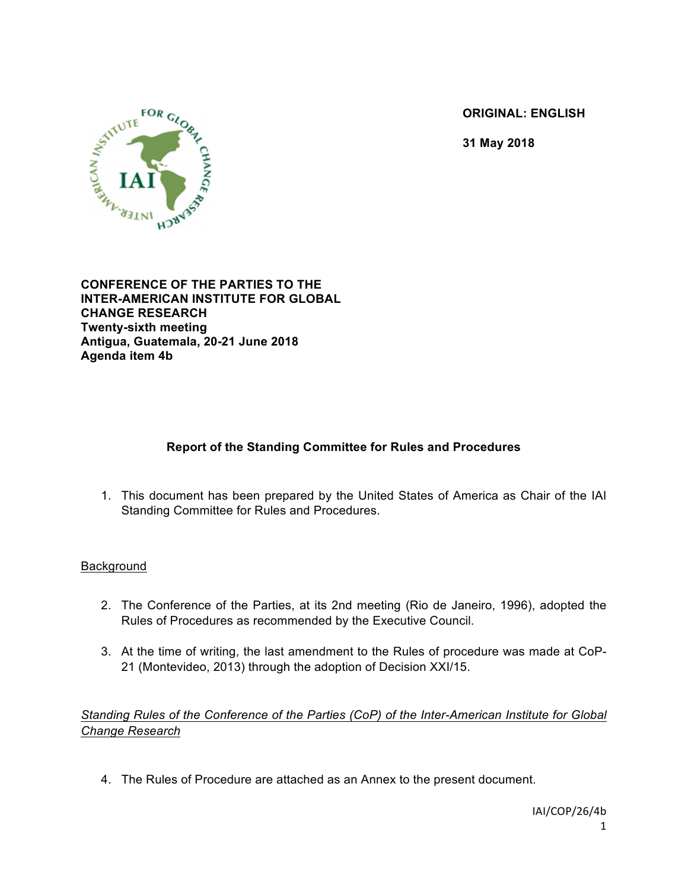**ORIGINAL: ENGLISH**

**31 May 2018**



**CONFERENCE OF THE PARTIES TO THE INTER-AMERICAN INSTITUTE FOR GLOBAL CHANGE RESEARCH Twenty-sixth meeting Antigua, Guatemala, 20-21 June 2018 Agenda item 4b**

# **Report of the Standing Committee for Rules and Procedures**

1. This document has been prepared by the United States of America as Chair of the IAI Standing Committee for Rules and Procedures.

#### **Background**

- 2. The Conference of the Parties, at its 2nd meeting (Rio de Janeiro, 1996), adopted the Rules of Procedures as recommended by the Executive Council.
- 3. At the time of writing, the last amendment to the Rules of procedure was made at CoP-21 (Montevideo, 2013) through the adoption of Decision XXI/15.

*Standing Rules of the Conference of the Parties (CoP) of the Inter-American Institute for Global Change Research*

4. The Rules of Procedure are attached as an Annex to the present document.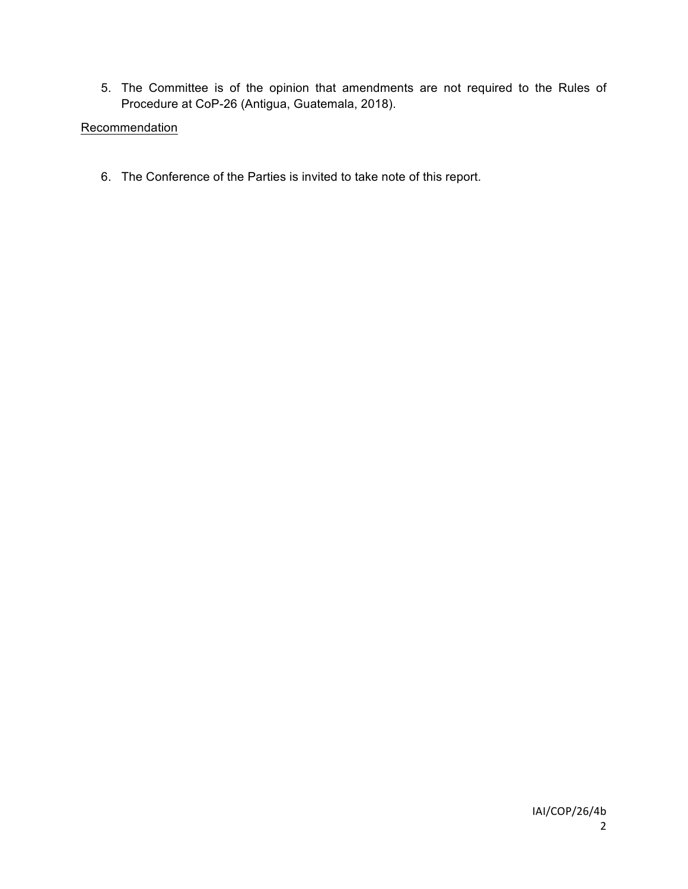5. The Committee is of the opinion that amendments are not required to the Rules of Procedure at CoP-26 (Antigua, Guatemala, 2018).

# **Recommendation**

6. The Conference of the Parties is invited to take note of this report.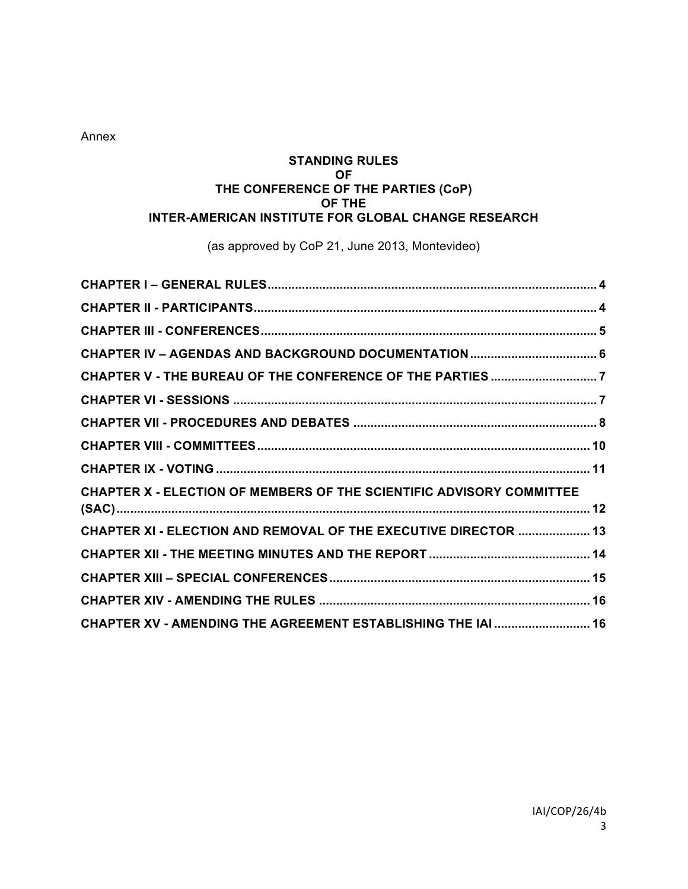Annex

#### **STANDING RULES OF THE CONFERENCE OF THE PARTIES (CoP) OF THE INTER-AMERICAN INSTITUTE FOR GLOBAL CHANGE RESEARCH**

(as approved by CoP 21, June 2013, Montevideo)

| CHAPTER X - ELECTION OF MEMBERS OF THE SCIENTIFIC ADVISORY COMMITTEE |  |
|----------------------------------------------------------------------|--|
| CHAPTER XI - ELECTION AND REMOVAL OF THE EXECUTIVE DIRECTOR  13      |  |
|                                                                      |  |
|                                                                      |  |
|                                                                      |  |
| CHAPTER XV - AMENDING THE AGREEMENT ESTABLISHING THE IAI  16         |  |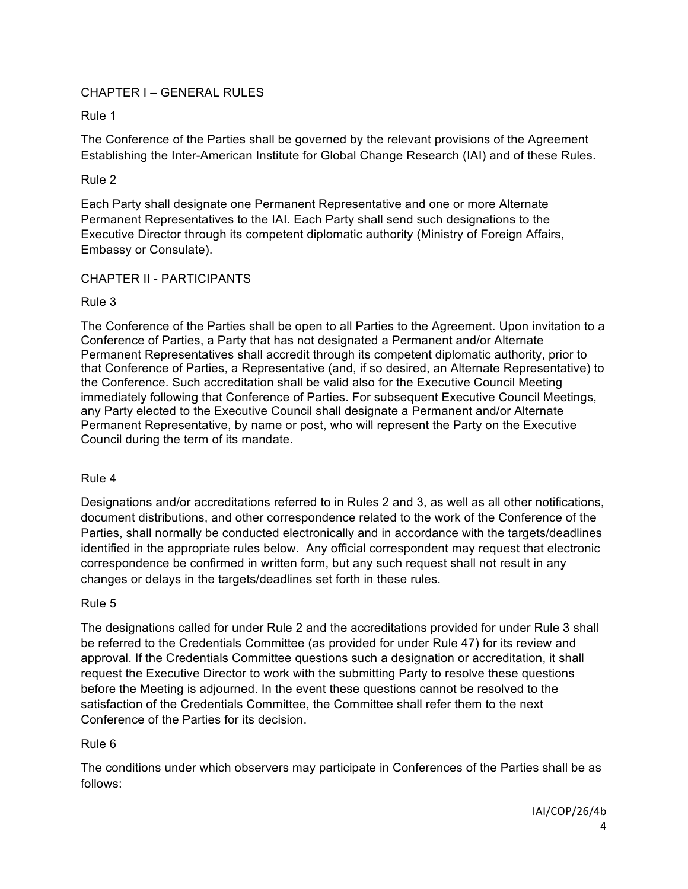## CHAPTER I – GENERAL RULES

Rule 1

The Conference of the Parties shall be governed by the relevant provisions of the Agreement Establishing the Inter-American Institute for Global Change Research (IAI) and of these Rules.

### Rule 2

Each Party shall designate one Permanent Representative and one or more Alternate Permanent Representatives to the IAI. Each Party shall send such designations to the Executive Director through its competent diplomatic authority (Ministry of Foreign Affairs, Embassy or Consulate).

#### CHAPTER II - PARTICIPANTS

## Rule 3

The Conference of the Parties shall be open to all Parties to the Agreement. Upon invitation to a Conference of Parties, a Party that has not designated a Permanent and/or Alternate Permanent Representatives shall accredit through its competent diplomatic authority, prior to that Conference of Parties, a Representative (and, if so desired, an Alternate Representative) to the Conference. Such accreditation shall be valid also for the Executive Council Meeting immediately following that Conference of Parties. For subsequent Executive Council Meetings, any Party elected to the Executive Council shall designate a Permanent and/or Alternate Permanent Representative, by name or post, who will represent the Party on the Executive Council during the term of its mandate.

# Rule 4

Designations and/or accreditations referred to in Rules 2 and 3, as well as all other notifications, document distributions, and other correspondence related to the work of the Conference of the Parties, shall normally be conducted electronically and in accordance with the targets/deadlines identified in the appropriate rules below. Any official correspondent may request that electronic correspondence be confirmed in written form, but any such request shall not result in any changes or delays in the targets/deadlines set forth in these rules.

#### Rule 5

The designations called for under Rule 2 and the accreditations provided for under Rule 3 shall be referred to the Credentials Committee (as provided for under Rule 47) for its review and approval. If the Credentials Committee questions such a designation or accreditation, it shall request the Executive Director to work with the submitting Party to resolve these questions before the Meeting is adjourned. In the event these questions cannot be resolved to the satisfaction of the Credentials Committee, the Committee shall refer them to the next Conference of the Parties for its decision.

# Rule 6

The conditions under which observers may participate in Conferences of the Parties shall be as follows: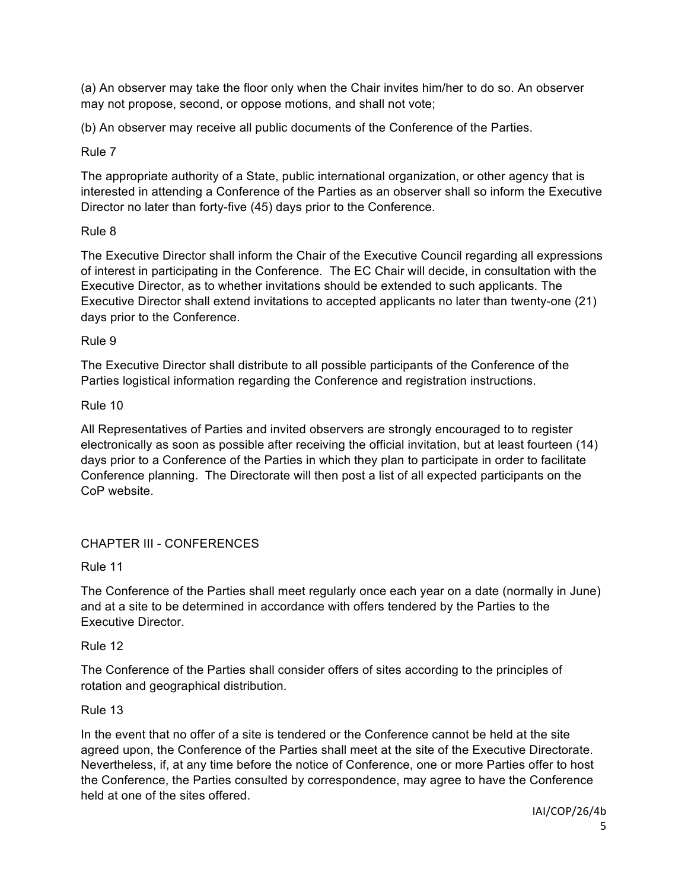(a) An observer may take the floor only when the Chair invites him/her to do so. An observer may not propose, second, or oppose motions, and shall not vote;

(b) An observer may receive all public documents of the Conference of the Parties.

## Rule 7

The appropriate authority of a State, public international organization, or other agency that is interested in attending a Conference of the Parties as an observer shall so inform the Executive Director no later than forty-five (45) days prior to the Conference.

# Rule 8

The Executive Director shall inform the Chair of the Executive Council regarding all expressions of interest in participating in the Conference. The EC Chair will decide, in consultation with the Executive Director, as to whether invitations should be extended to such applicants. The Executive Director shall extend invitations to accepted applicants no later than twenty-one (21) days prior to the Conference.

## Rule 9

The Executive Director shall distribute to all possible participants of the Conference of the Parties logistical information regarding the Conference and registration instructions.

## Rule 10

All Representatives of Parties and invited observers are strongly encouraged to to register electronically as soon as possible after receiving the official invitation, but at least fourteen (14) days prior to a Conference of the Parties in which they plan to participate in order to facilitate Conference planning. The Directorate will then post a list of all expected participants on the CoP website.

# CHAPTER III - CONFERENCES

Rule 11

The Conference of the Parties shall meet regularly once each year on a date (normally in June) and at a site to be determined in accordance with offers tendered by the Parties to the Executive Director.

# Rule 12

The Conference of the Parties shall consider offers of sites according to the principles of rotation and geographical distribution.

# Rule 13

In the event that no offer of a site is tendered or the Conference cannot be held at the site agreed upon, the Conference of the Parties shall meet at the site of the Executive Directorate. Nevertheless, if, at any time before the notice of Conference, one or more Parties offer to host the Conference, the Parties consulted by correspondence, may agree to have the Conference held at one of the sites offered.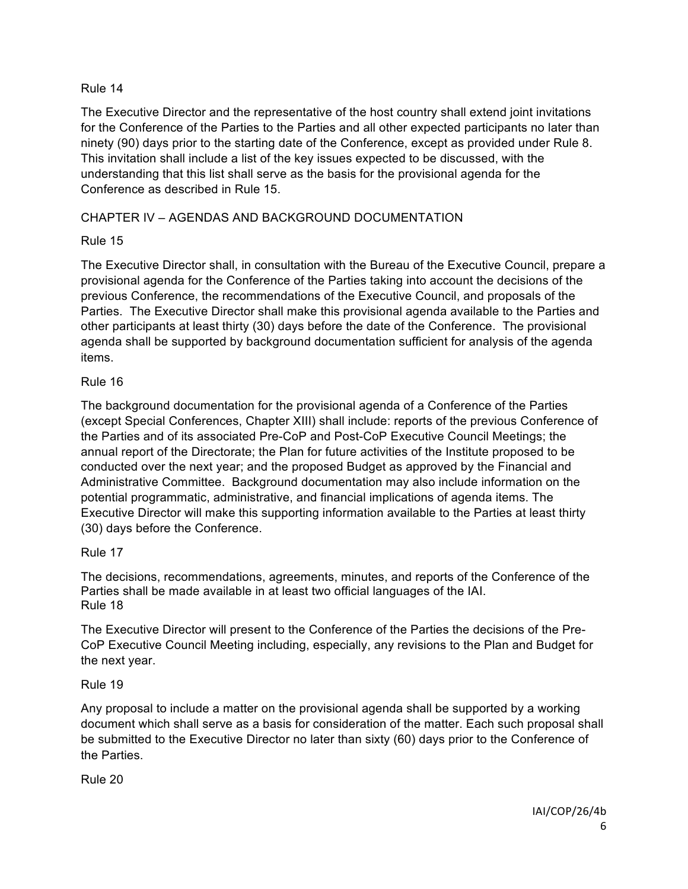The Executive Director and the representative of the host country shall extend joint invitations for the Conference of the Parties to the Parties and all other expected participants no later than ninety (90) days prior to the starting date of the Conference, except as provided under Rule 8. This invitation shall include a list of the key issues expected to be discussed, with the understanding that this list shall serve as the basis for the provisional agenda for the Conference as described in Rule 15.

# CHAPTER IV – AGENDAS AND BACKGROUND DOCUMENTATION

# Rule 15

The Executive Director shall, in consultation with the Bureau of the Executive Council, prepare a provisional agenda for the Conference of the Parties taking into account the decisions of the previous Conference, the recommendations of the Executive Council, and proposals of the Parties. The Executive Director shall make this provisional agenda available to the Parties and other participants at least thirty (30) days before the date of the Conference. The provisional agenda shall be supported by background documentation sufficient for analysis of the agenda items.

# Rule 16

The background documentation for the provisional agenda of a Conference of the Parties (except Special Conferences, Chapter XIII) shall include: reports of the previous Conference of the Parties and of its associated Pre-CoP and Post-CoP Executive Council Meetings; the annual report of the Directorate; the Plan for future activities of the Institute proposed to be conducted over the next year; and the proposed Budget as approved by the Financial and Administrative Committee. Background documentation may also include information on the potential programmatic, administrative, and financial implications of agenda items. The Executive Director will make this supporting information available to the Parties at least thirty (30) days before the Conference.

# Rule 17

The decisions, recommendations, agreements, minutes, and reports of the Conference of the Parties shall be made available in at least two official languages of the IAI. Rule 18

The Executive Director will present to the Conference of the Parties the decisions of the Pre-CoP Executive Council Meeting including, especially, any revisions to the Plan and Budget for the next year.

# Rule 19

Any proposal to include a matter on the provisional agenda shall be supported by a working document which shall serve as a basis for consideration of the matter. Each such proposal shall be submitted to the Executive Director no later than sixty (60) days prior to the Conference of the Parties.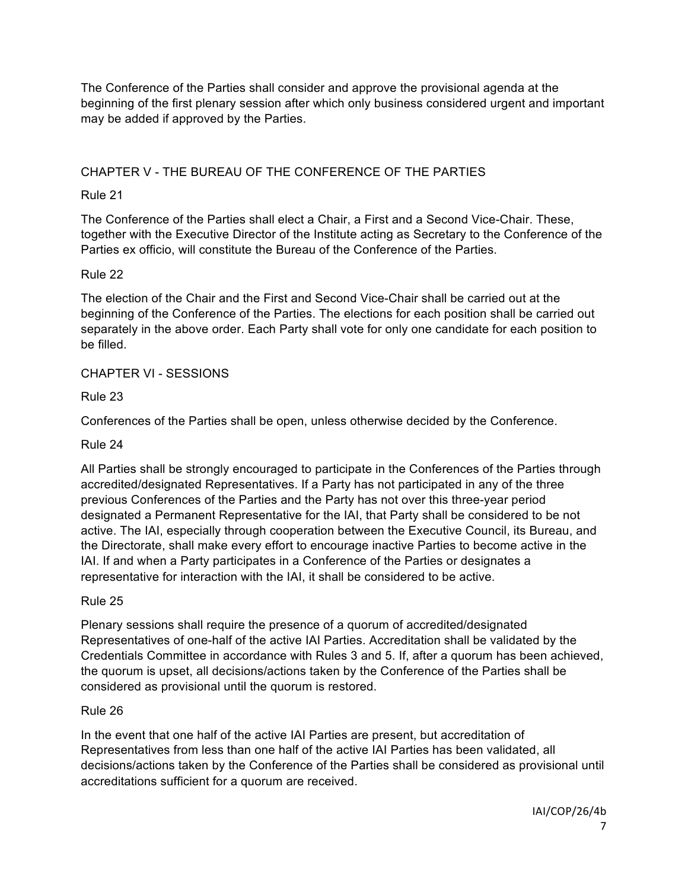The Conference of the Parties shall consider and approve the provisional agenda at the beginning of the first plenary session after which only business considered urgent and important may be added if approved by the Parties.

# CHAPTER V - THE BUREAU OF THE CONFERENCE OF THE PARTIES

# Rule 21

The Conference of the Parties shall elect a Chair, a First and a Second Vice-Chair. These, together with the Executive Director of the Institute acting as Secretary to the Conference of the Parties ex officio, will constitute the Bureau of the Conference of the Parties.

## Rule 22

The election of the Chair and the First and Second Vice-Chair shall be carried out at the beginning of the Conference of the Parties. The elections for each position shall be carried out separately in the above order. Each Party shall vote for only one candidate for each position to be filled.

# CHAPTER VI - SESSIONS

Rule 23

Conferences of the Parties shall be open, unless otherwise decided by the Conference.

### Rule 24

All Parties shall be strongly encouraged to participate in the Conferences of the Parties through accredited/designated Representatives. If a Party has not participated in any of the three previous Conferences of the Parties and the Party has not over this three-year period designated a Permanent Representative for the IAI, that Party shall be considered to be not active. The IAI, especially through cooperation between the Executive Council, its Bureau, and the Directorate, shall make every effort to encourage inactive Parties to become active in the IAI. If and when a Party participates in a Conference of the Parties or designates a representative for interaction with the IAI, it shall be considered to be active.

#### Rule 25

Plenary sessions shall require the presence of a quorum of accredited/designated Representatives of one-half of the active IAI Parties. Accreditation shall be validated by the Credentials Committee in accordance with Rules 3 and 5. If, after a quorum has been achieved, the quorum is upset, all decisions/actions taken by the Conference of the Parties shall be considered as provisional until the quorum is restored.

#### Rule 26

In the event that one half of the active IAI Parties are present, but accreditation of Representatives from less than one half of the active IAI Parties has been validated, all decisions/actions taken by the Conference of the Parties shall be considered as provisional until accreditations sufficient for a quorum are received.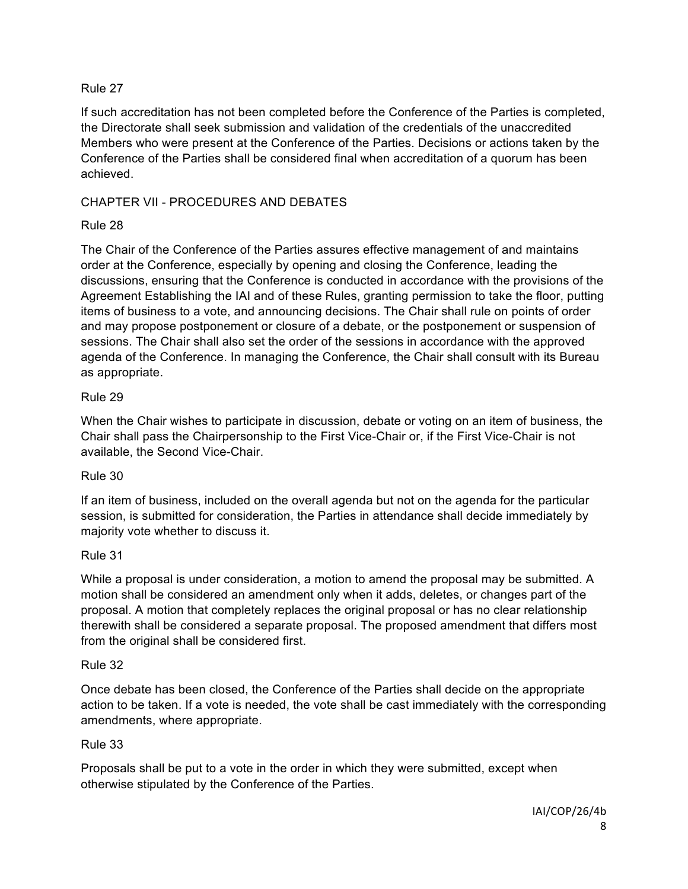If such accreditation has not been completed before the Conference of the Parties is completed, the Directorate shall seek submission and validation of the credentials of the unaccredited Members who were present at the Conference of the Parties. Decisions or actions taken by the Conference of the Parties shall be considered final when accreditation of a quorum has been achieved.

# CHAPTER VII - PROCEDURES AND DEBATES

# Rule 28

The Chair of the Conference of the Parties assures effective management of and maintains order at the Conference, especially by opening and closing the Conference, leading the discussions, ensuring that the Conference is conducted in accordance with the provisions of the Agreement Establishing the IAI and of these Rules, granting permission to take the floor, putting items of business to a vote, and announcing decisions. The Chair shall rule on points of order and may propose postponement or closure of a debate, or the postponement or suspension of sessions. The Chair shall also set the order of the sessions in accordance with the approved agenda of the Conference. In managing the Conference, the Chair shall consult with its Bureau as appropriate.

# Rule 29

When the Chair wishes to participate in discussion, debate or voting on an item of business, the Chair shall pass the Chairpersonship to the First Vice-Chair or, if the First Vice-Chair is not available, the Second Vice-Chair.

# Rule 30

If an item of business, included on the overall agenda but not on the agenda for the particular session, is submitted for consideration, the Parties in attendance shall decide immediately by majority vote whether to discuss it.

# Rule 31

While a proposal is under consideration, a motion to amend the proposal may be submitted. A motion shall be considered an amendment only when it adds, deletes, or changes part of the proposal. A motion that completely replaces the original proposal or has no clear relationship therewith shall be considered a separate proposal. The proposed amendment that differs most from the original shall be considered first.

#### Rule 32

Once debate has been closed, the Conference of the Parties shall decide on the appropriate action to be taken. If a vote is needed, the vote shall be cast immediately with the corresponding amendments, where appropriate.

# Rule 33

Proposals shall be put to a vote in the order in which they were submitted, except when otherwise stipulated by the Conference of the Parties.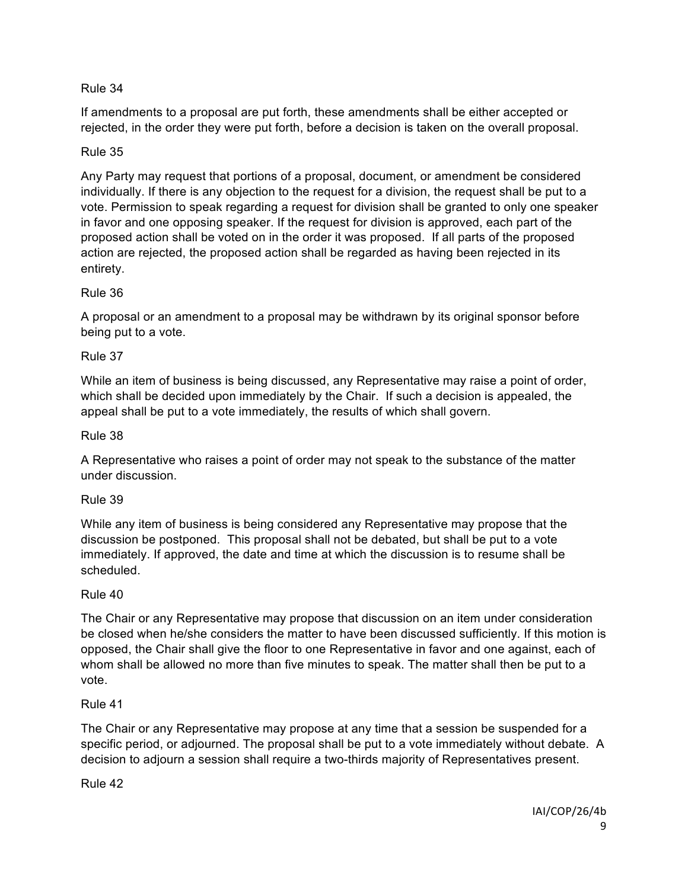If amendments to a proposal are put forth, these amendments shall be either accepted or rejected, in the order they were put forth, before a decision is taken on the overall proposal.

## Rule 35

Any Party may request that portions of a proposal, document, or amendment be considered individually. If there is any objection to the request for a division, the request shall be put to a vote. Permission to speak regarding a request for division shall be granted to only one speaker in favor and one opposing speaker. If the request for division is approved, each part of the proposed action shall be voted on in the order it was proposed. If all parts of the proposed action are rejected, the proposed action shall be regarded as having been rejected in its entirety.

## Rule 36

A proposal or an amendment to a proposal may be withdrawn by its original sponsor before being put to a vote.

## Rule 37

While an item of business is being discussed, any Representative may raise a point of order, which shall be decided upon immediately by the Chair. If such a decision is appealed, the appeal shall be put to a vote immediately, the results of which shall govern.

## Rule 38

A Representative who raises a point of order may not speak to the substance of the matter under discussion.

#### Rule 39

While any item of business is being considered any Representative may propose that the discussion be postponed. This proposal shall not be debated, but shall be put to a vote immediately. If approved, the date and time at which the discussion is to resume shall be scheduled.

# Rule 40

The Chair or any Representative may propose that discussion on an item under consideration be closed when he/she considers the matter to have been discussed sufficiently. If this motion is opposed, the Chair shall give the floor to one Representative in favor and one against, each of whom shall be allowed no more than five minutes to speak. The matter shall then be put to a vote.

#### Rule 41

The Chair or any Representative may propose at any time that a session be suspended for a specific period, or adjourned. The proposal shall be put to a vote immediately without debate. A decision to adjourn a session shall require a two-thirds majority of Representatives present.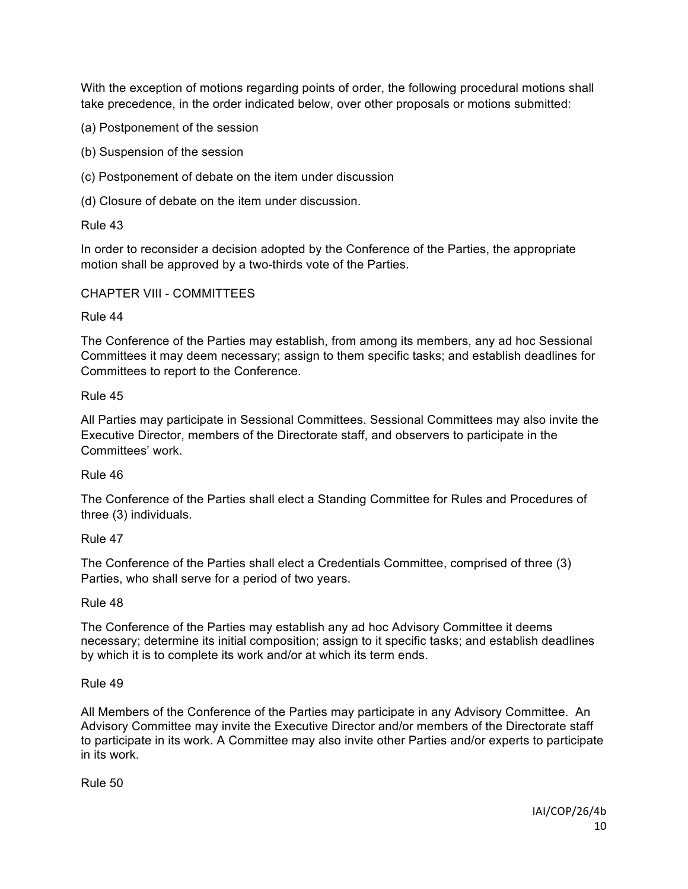With the exception of motions regarding points of order, the following procedural motions shall take precedence, in the order indicated below, over other proposals or motions submitted:

(a) Postponement of the session

(b) Suspension of the session

(c) Postponement of debate on the item under discussion

(d) Closure of debate on the item under discussion.

Rule 43

In order to reconsider a decision adopted by the Conference of the Parties, the appropriate motion shall be approved by a two-thirds vote of the Parties.

#### CHAPTER VIII - COMMITTEES

Rule 44

The Conference of the Parties may establish, from among its members, any ad hoc Sessional Committees it may deem necessary; assign to them specific tasks; and establish deadlines for Committees to report to the Conference.

Rule 45

All Parties may participate in Sessional Committees. Sessional Committees may also invite the Executive Director, members of the Directorate staff, and observers to participate in the Committees' work.

Rule 46

The Conference of the Parties shall elect a Standing Committee for Rules and Procedures of three (3) individuals.

Rule 47

The Conference of the Parties shall elect a Credentials Committee, comprised of three (3) Parties, who shall serve for a period of two years.

Rule 48

The Conference of the Parties may establish any ad hoc Advisory Committee it deems necessary; determine its initial composition; assign to it specific tasks; and establish deadlines by which it is to complete its work and/or at which its term ends.

Rule 49

All Members of the Conference of the Parties may participate in any Advisory Committee. An Advisory Committee may invite the Executive Director and/or members of the Directorate staff to participate in its work. A Committee may also invite other Parties and/or experts to participate in its work.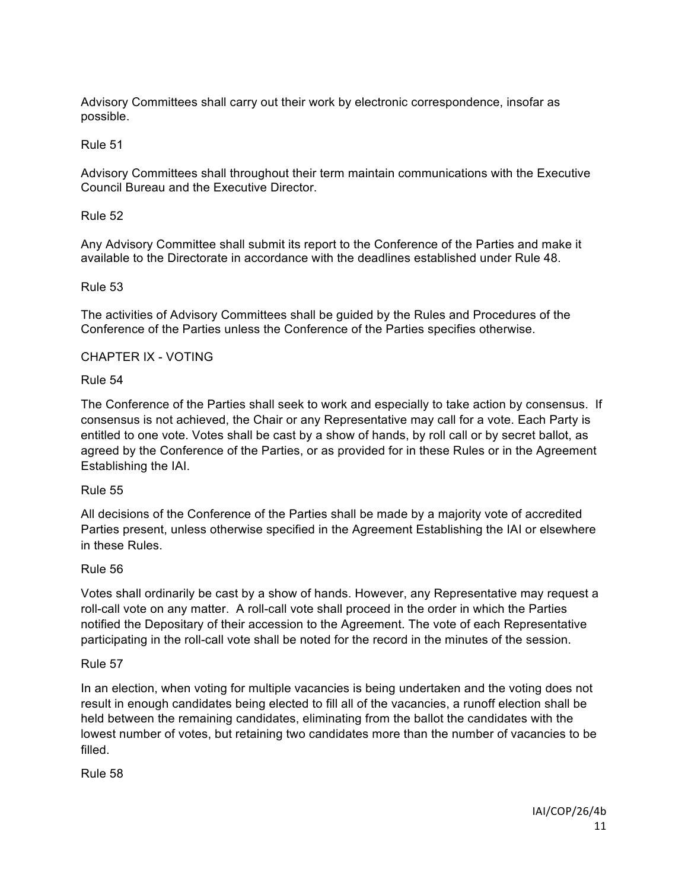Advisory Committees shall carry out their work by electronic correspondence, insofar as possible.

#### Rule 51

Advisory Committees shall throughout their term maintain communications with the Executive Council Bureau and the Executive Director.

#### Rule 52

Any Advisory Committee shall submit its report to the Conference of the Parties and make it available to the Directorate in accordance with the deadlines established under Rule 48.

#### Rule 53

The activities of Advisory Committees shall be guided by the Rules and Procedures of the Conference of the Parties unless the Conference of the Parties specifies otherwise.

#### CHAPTER IX - VOTING

#### Rule 54

The Conference of the Parties shall seek to work and especially to take action by consensus. If consensus is not achieved, the Chair or any Representative may call for a vote. Each Party is entitled to one vote. Votes shall be cast by a show of hands, by roll call or by secret ballot, as agreed by the Conference of the Parties, or as provided for in these Rules or in the Agreement Establishing the IAI.

#### Rule 55

All decisions of the Conference of the Parties shall be made by a majority vote of accredited Parties present, unless otherwise specified in the Agreement Establishing the IAI or elsewhere in these Rules.

#### Rule 56

Votes shall ordinarily be cast by a show of hands. However, any Representative may request a roll-call vote on any matter. A roll-call vote shall proceed in the order in which the Parties notified the Depositary of their accession to the Agreement. The vote of each Representative participating in the roll-call vote shall be noted for the record in the minutes of the session.

#### Rule 57

In an election, when voting for multiple vacancies is being undertaken and the voting does not result in enough candidates being elected to fill all of the vacancies, a runoff election shall be held between the remaining candidates, eliminating from the ballot the candidates with the lowest number of votes, but retaining two candidates more than the number of vacancies to be filled.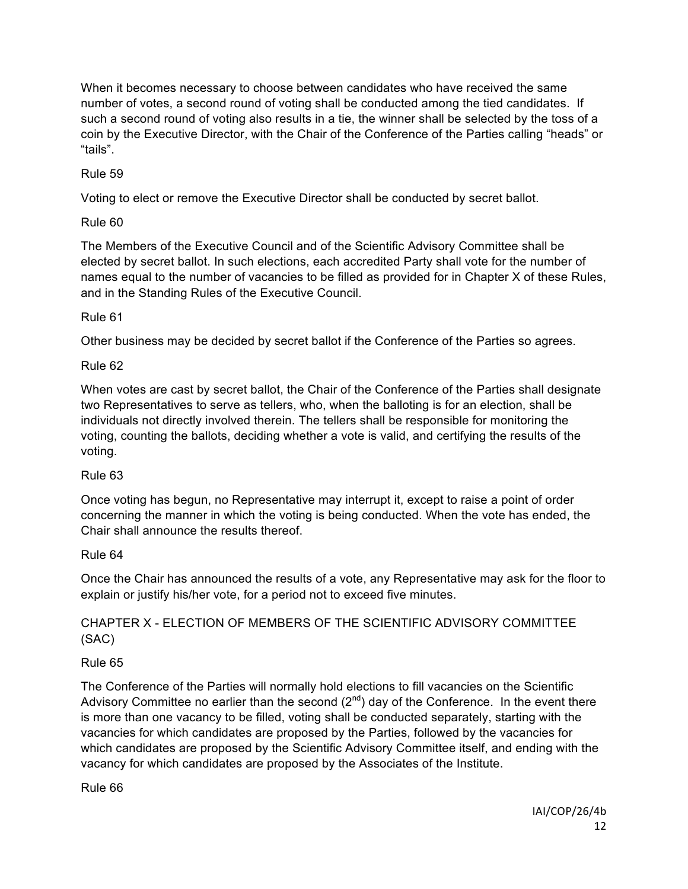When it becomes necessary to choose between candidates who have received the same number of votes, a second round of voting shall be conducted among the tied candidates. If such a second round of voting also results in a tie, the winner shall be selected by the toss of a coin by the Executive Director, with the Chair of the Conference of the Parties calling "heads" or "tails".

Rule 59

Voting to elect or remove the Executive Director shall be conducted by secret ballot.

Rule 60

The Members of the Executive Council and of the Scientific Advisory Committee shall be elected by secret ballot. In such elections, each accredited Party shall vote for the number of names equal to the number of vacancies to be filled as provided for in Chapter X of these Rules, and in the Standing Rules of the Executive Council.

# Rule 61

Other business may be decided by secret ballot if the Conference of the Parties so agrees.

# Rule 62

When votes are cast by secret ballot, the Chair of the Conference of the Parties shall designate two Representatives to serve as tellers, who, when the balloting is for an election, shall be individuals not directly involved therein. The tellers shall be responsible for monitoring the voting, counting the ballots, deciding whether a vote is valid, and certifying the results of the voting.

# Rule 63

Once voting has begun, no Representative may interrupt it, except to raise a point of order concerning the manner in which the voting is being conducted. When the vote has ended, the Chair shall announce the results thereof.

# Rule 64

Once the Chair has announced the results of a vote, any Representative may ask for the floor to explain or justify his/her vote, for a period not to exceed five minutes.

# CHAPTER X - ELECTION OF MEMBERS OF THE SCIENTIFIC ADVISORY COMMITTEE (SAC)

# Rule 65

The Conference of the Parties will normally hold elections to fill vacancies on the Scientific Advisory Committee no earlier than the second  $(2^{nd})$  day of the Conference. In the event there is more than one vacancy to be filled, voting shall be conducted separately, starting with the vacancies for which candidates are proposed by the Parties, followed by the vacancies for which candidates are proposed by the Scientific Advisory Committee itself, and ending with the vacancy for which candidates are proposed by the Associates of the Institute.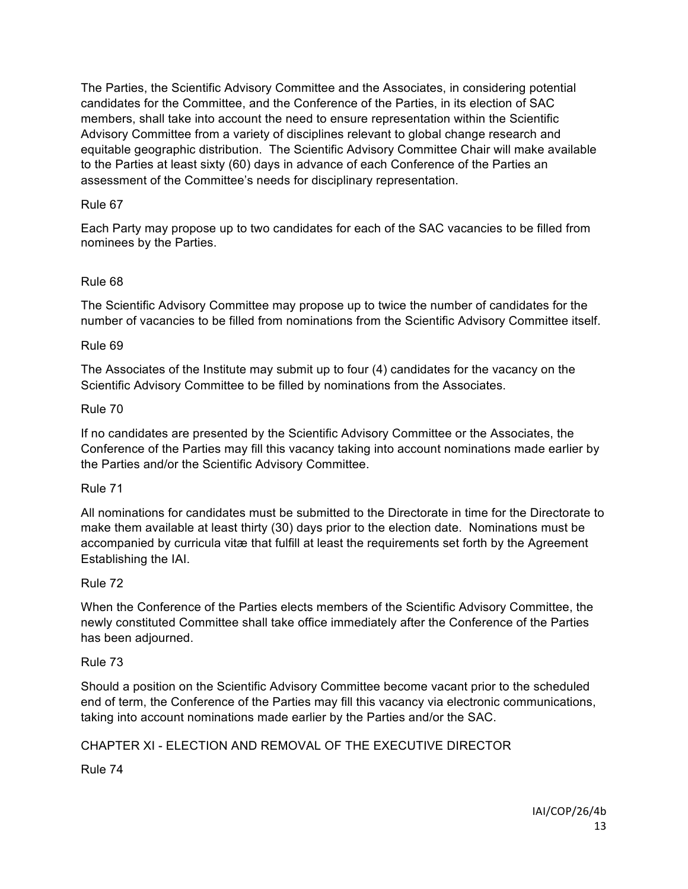The Parties, the Scientific Advisory Committee and the Associates, in considering potential candidates for the Committee, and the Conference of the Parties, in its election of SAC members, shall take into account the need to ensure representation within the Scientific Advisory Committee from a variety of disciplines relevant to global change research and equitable geographic distribution. The Scientific Advisory Committee Chair will make available to the Parties at least sixty (60) days in advance of each Conference of the Parties an assessment of the Committee's needs for disciplinary representation.

## Rule 67

Each Party may propose up to two candidates for each of the SAC vacancies to be filled from nominees by the Parties.

## Rule 68

The Scientific Advisory Committee may propose up to twice the number of candidates for the number of vacancies to be filled from nominations from the Scientific Advisory Committee itself.

#### Rule 69

The Associates of the Institute may submit up to four (4) candidates for the vacancy on the Scientific Advisory Committee to be filled by nominations from the Associates.

#### Rule 70

If no candidates are presented by the Scientific Advisory Committee or the Associates, the Conference of the Parties may fill this vacancy taking into account nominations made earlier by the Parties and/or the Scientific Advisory Committee.

#### Rule 71

All nominations for candidates must be submitted to the Directorate in time for the Directorate to make them available at least thirty (30) days prior to the election date. Nominations must be accompanied by curricula vitæ that fulfill at least the requirements set forth by the Agreement Establishing the IAI.

# Rule 72

When the Conference of the Parties elects members of the Scientific Advisory Committee, the newly constituted Committee shall take office immediately after the Conference of the Parties has been adjourned.

#### Rule 73

Should a position on the Scientific Advisory Committee become vacant prior to the scheduled end of term, the Conference of the Parties may fill this vacancy via electronic communications, taking into account nominations made earlier by the Parties and/or the SAC.

# CHAPTER XI - ELECTION AND REMOVAL OF THE EXECUTIVE DIRECTOR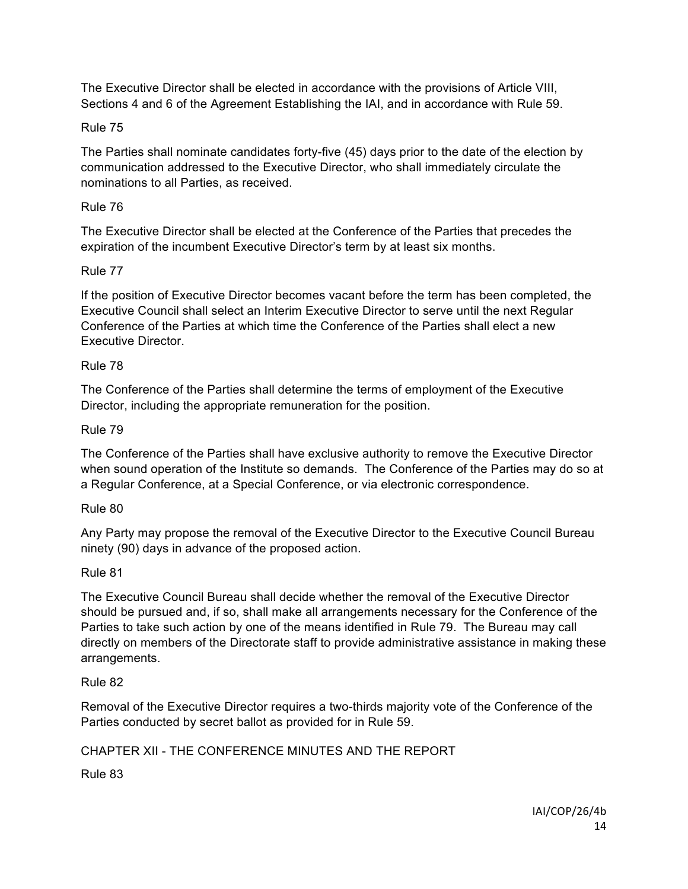The Executive Director shall be elected in accordance with the provisions of Article VIII, Sections 4 and 6 of the Agreement Establishing the IAI, and in accordance with Rule 59.

## Rule 75

The Parties shall nominate candidates forty-five (45) days prior to the date of the election by communication addressed to the Executive Director, who shall immediately circulate the nominations to all Parties, as received.

## Rule 76

The Executive Director shall be elected at the Conference of the Parties that precedes the expiration of the incumbent Executive Director's term by at least six months.

## Rule 77

If the position of Executive Director becomes vacant before the term has been completed, the Executive Council shall select an Interim Executive Director to serve until the next Regular Conference of the Parties at which time the Conference of the Parties shall elect a new Executive Director.

## Rule 78

The Conference of the Parties shall determine the terms of employment of the Executive Director, including the appropriate remuneration for the position.

## Rule 79

The Conference of the Parties shall have exclusive authority to remove the Executive Director when sound operation of the Institute so demands. The Conference of the Parties may do so at a Regular Conference, at a Special Conference, or via electronic correspondence.

#### Rule 80

Any Party may propose the removal of the Executive Director to the Executive Council Bureau ninety (90) days in advance of the proposed action.

#### Rule 81

The Executive Council Bureau shall decide whether the removal of the Executive Director should be pursued and, if so, shall make all arrangements necessary for the Conference of the Parties to take such action by one of the means identified in Rule 79. The Bureau may call directly on members of the Directorate staff to provide administrative assistance in making these arrangements.

#### Rule 82

Removal of the Executive Director requires a two-thirds majority vote of the Conference of the Parties conducted by secret ballot as provided for in Rule 59.

# CHAPTER XII - THE CONFERENCE MINUTES AND THE REPORT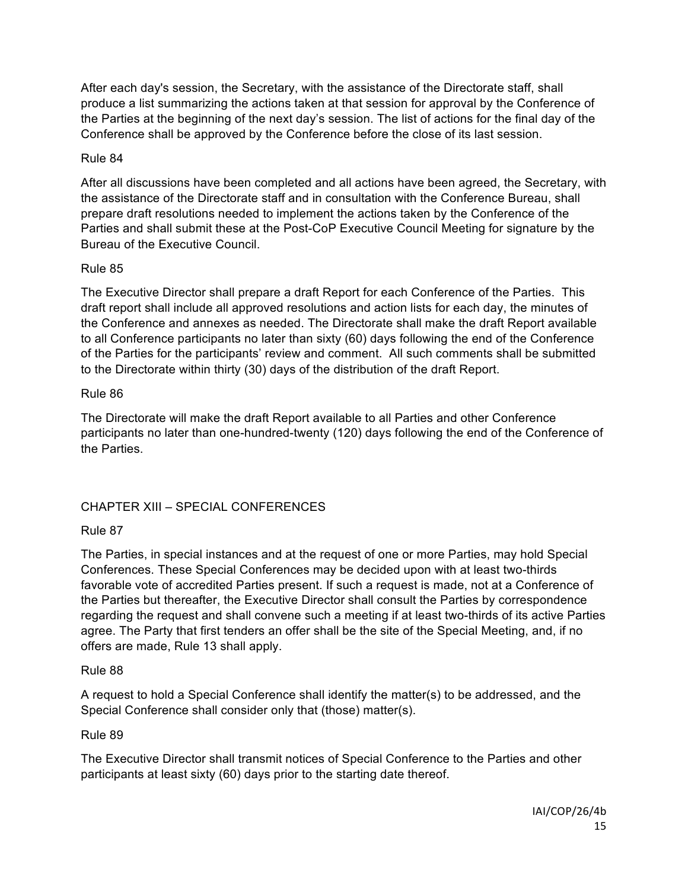After each day's session, the Secretary, with the assistance of the Directorate staff, shall produce a list summarizing the actions taken at that session for approval by the Conference of the Parties at the beginning of the next day's session. The list of actions for the final day of the Conference shall be approved by the Conference before the close of its last session.

## Rule 84

After all discussions have been completed and all actions have been agreed, the Secretary, with the assistance of the Directorate staff and in consultation with the Conference Bureau, shall prepare draft resolutions needed to implement the actions taken by the Conference of the Parties and shall submit these at the Post-CoP Executive Council Meeting for signature by the Bureau of the Executive Council.

## Rule 85

The Executive Director shall prepare a draft Report for each Conference of the Parties. This draft report shall include all approved resolutions and action lists for each day, the minutes of the Conference and annexes as needed. The Directorate shall make the draft Report available to all Conference participants no later than sixty (60) days following the end of the Conference of the Parties for the participants' review and comment. All such comments shall be submitted to the Directorate within thirty (30) days of the distribution of the draft Report.

## Rule 86

The Directorate will make the draft Report available to all Parties and other Conference participants no later than one-hundred-twenty (120) days following the end of the Conference of the Parties.

# CHAPTER XIII – SPECIAL CONFERENCES

# Rule 87

The Parties, in special instances and at the request of one or more Parties, may hold Special Conferences. These Special Conferences may be decided upon with at least two-thirds favorable vote of accredited Parties present. If such a request is made, not at a Conference of the Parties but thereafter, the Executive Director shall consult the Parties by correspondence regarding the request and shall convene such a meeting if at least two-thirds of its active Parties agree. The Party that first tenders an offer shall be the site of the Special Meeting, and, if no offers are made, Rule 13 shall apply.

#### Rule 88

A request to hold a Special Conference shall identify the matter(s) to be addressed, and the Special Conference shall consider only that (those) matter(s).

# Rule 89

The Executive Director shall transmit notices of Special Conference to the Parties and other participants at least sixty (60) days prior to the starting date thereof.